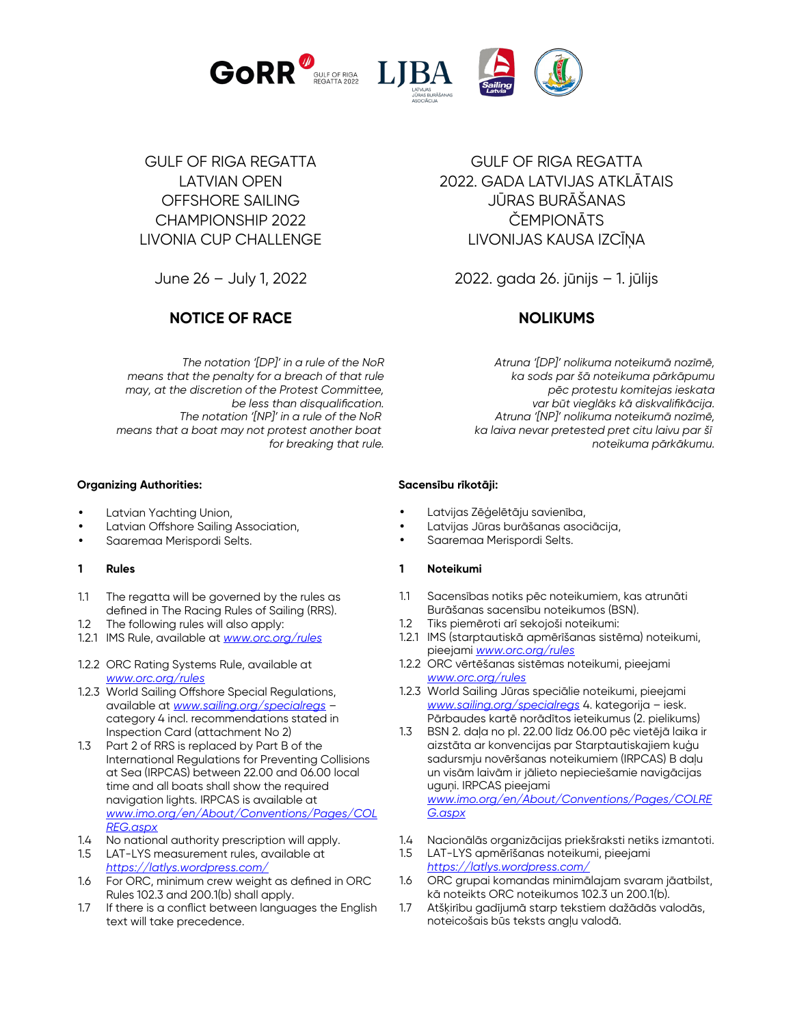

GULF OF RIGA REGATTA LATVIAN OPEN OFFSHORE SAILING CHAMPIONSHIP 2022 LIVONIA CUP CHALLENGE

June 26 – July 1, 2022

# **NOTICE OF RACE NOLIKUMS**

*The notation '[DP]' in a rule of the NoR means that the penalty for a breach of that rule may, at the discretion of the Protest Committee, be less than disqualification. The notation '[NP]' in a rule of the NoR means that a boat may not protest another boat for breaking that rule.*

## **Organizing Authorities:**

- Latvian Yachting Union,
- Latvian Offshore Sailing Association,
- Saaremaa Merispordi Selts.

## **1 Rules**

- 1.1 The regatta will be governed by the rules as defined in The Racing Rules of Sailing (RRS).
- 1.2 The following rules will also apply:
- 1.2.1 IMS Rule, available at *www.orc.org/rules*
- 1.2.2 ORC Rating Systems Rule, available at *www.orc.org/rules*
- 1.2.3 World Sailing Offshore Special Regulations, available at *[www.sailing.org/specialregs](http://www.sailing.org/specialregs) –*  category 4 incl. recommendations stated in Inspection Card (attachment No 2)
- 1.3 Part 2 of RRS is replaced by Part B of the International Regulations for Preventing Collisions at Sea (IRPCAS) between 22.00 and 06.00 local time and all boats shall show the required navigation lights. IRPCAS is available at *[www.imo.org/en/About/Conventions/Pages/COL](http://www.imo.org/en/About/Conventions/Pages/COLREG.aspx) [REG.aspx](http://www.imo.org/en/About/Conventions/Pages/COLREG.aspx)*
- 1.4 No national authority prescription will apply.
- 1.5 LAT-LYS measurement rules, available at *https://latlys.wordpress.com/*
- 1.6 For ORC, minimum crew weight as defined in ORC Rules 102.3 and 200.1(b) shall apply.
- 1.7 If there is a conflict between languages the English text will take precedence.

GULF OF RIGA REGATTA 2022. GADA LATVIJAS ATKLĀTAIS JŪRAS BURĀŠANAS **ČEMPIONĀTS** LIVONIJAS KAUSA IZCĪŅA

2022. gada 26. jūnijs – 1. jūlijs

*Atruna '[DP]' nolikuma noteikumā nozīmē, ka sods par šā noteikuma pārkāpumu pēc protestu komitejas ieskata var būt vieglāks kā diskvalifikācija. Atruna '[NP]' nolikuma noteikumā nozīmē, ka laiva nevar pretested pret citu laivu par šī noteikuma pārkākumu.*

## **Sacensību rīkotāji:**

- Latvijas Zēģelētāju savienība,
- Latvijas Jūras burāšanas asociācija,
- Saaremaa Merispordi Selts.

## **1 Noteikumi**

- 1.1 Sacensības notiks pēc noteikumiem, kas atrunāti Burāšanas sacensību noteikumos (BSN).
- 1.2 Tiks piemēroti arī sekojoši noteikumi:
- 1.2.1 IMS (starptautiskā apmērīšanas sistēma) noteikumi, pieejami *www.orc.org/rules*
- 1.2.2 ORC vērtēšanas sistēmas noteikumi, pieejami *www.orc.org/rules*
- 1.2.3 World Sailing Jūras speciālie noteikumi, pieejami *[www.sailing.org/specialregs](http://www.sailing.org/specialregs)* 4. kategorija – iesk. Pārbaudes kartē norādītos ieteikumus (2. pielikums)
- 1.3 BSN 2. daļa no pl. 22.00 līdz 06.00 pēc vietējā laika ir aizstāta ar konvencijas par Starptautiskajiem kuģu sadursmju novēršanas noteikumiem (IRPCAS) B daļu un visām laivām ir jālieto nepieciešamie navigācijas uguņi. IRPCAS pieejami *www.imo.org/en/About/Conventions/Pages/COLRE G.aspx*
- 1.4 Nacionālās organizācijas priekšraksti netiks izmantoti.
- 1.5 LAT-LYS apmērīšanas noteikumi, pieejami *https://latlys.wordpress.com/*
- 1.6 ORC grupai komandas minimālajam svaram jāatbilst, kā noteikts ORC noteikumos 102.3 un 200.1(b).
- 1.7 Atšķirību gadījumā starp tekstiem dažādās valodās, noteicošais būs teksts angļu valodā.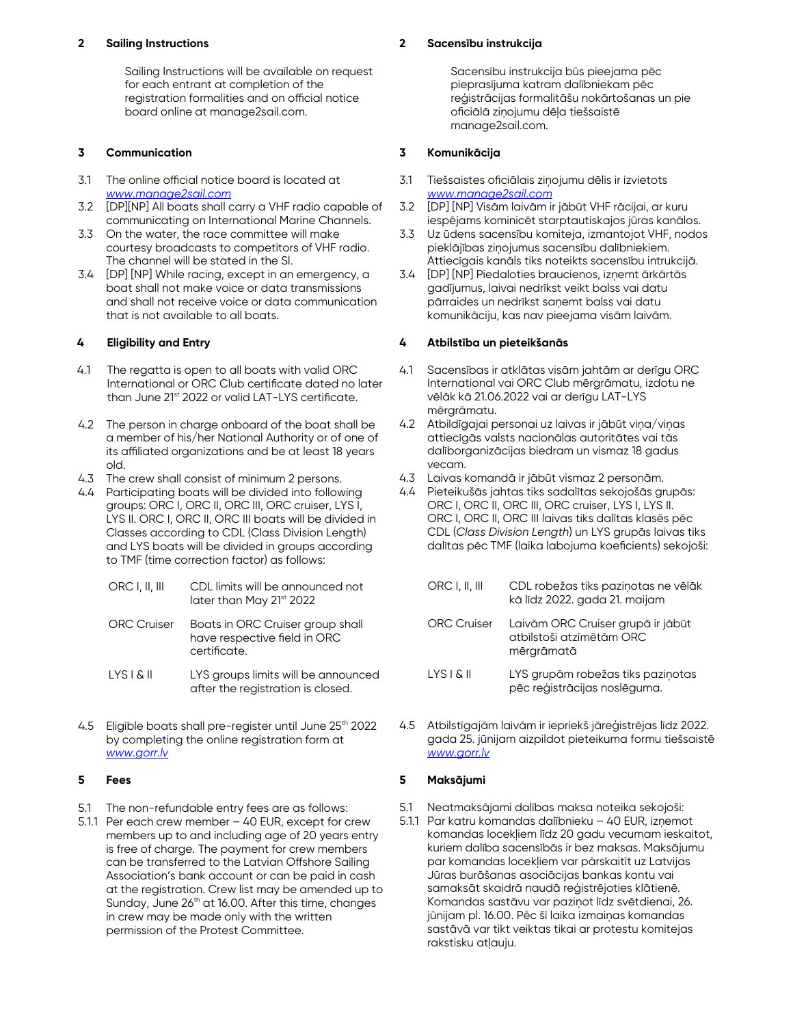#### **2 Sailing Instructions**

Sailing Instructions will be available on request for each entrant at completion of the registration formalities and on official notice board online at manage2sail.com.

#### **3 Communication**

- 3.1 The online official notice board is located at *[www.manage2sail.com](http://www.manage2sail.com/)*
- 3.2 [DP][NP] All boats shall carry a VHF radio capable of communicating on International Marine Channels.
- 3.3 On the water, the race committee will make courtesy broadcasts to competitors of VHF radio. The channel will be stated in the SI.
- 3.4 [DP] [NP] While racing, except in an emergency, a boat shall not make voice or data transmissions and shall not receive voice or data communication that is not available to all boats.

#### **4 Eligibility and Entry**

- 4.1 The regatta is open to all boats with valid ORC International or ORC Club certificate dated no later than June 21st 2022 or valid LAT-LYS certificate.
- 4.2 The person in charge onboard of the boat shall be a member of his/her National Authority or of one of its affiliated organizations and be at least 18 years old.
- 4.3 The crew shall consist of minimum 2 persons.
- 4.4 Participating boats will be divided into following groups: ORC I, ORC II, ORC III, ORC cruiser, LYS I, LYS II. ORC I, ORC II, ORC III boats will be divided in Classes according to CDL (Class Division Length) and LYS boats will be divided in groups according to TMF (time correction factor) as follows:
	- ORC I, II, III CDL limits will be announced not later than May 21st 2022
	- ORC Cruiser Boats in ORC Cruiser group shall have respective field in ORC certificate.
	- LYS I & II LYS groups limits will be announced after the registration is closed.
- 4.5 Eligible boats shall pre-register until June 25<sup>th</sup> 2022 by completing the online registration form at *[www.gorr.lv](http://www.gorr.lv/)*

#### **5 Fees**

- 5.1 The non-refundable entry fees are as follows:
- 5.1.1 Per each crew member 40 EUR, except for crew members up to and including age of 20 years entry is free of charge. The payment for crew members can be transferred to the Latvian Offshore Sailing Association's bank account or can be paid in cash at the registration. Crew list may be amended up to Sunday, June 26<sup>th</sup> at 16.00. After this time, changes in crew may be made only with the written permission of the Protest Committee.

#### **2 Sacensību instrukcija**

Sacensību instrukcija būs pieejama pēc pieprasījuma katram dalībniekam pēc reģistrācijas formalitāšu nokārtošanas un pie oficiālā ziņojumu dēļa tiešsaistē manage2sail.com.

#### **3 Komunikācija**

- 3.1 Tiešsaistes oficiālais ziņojumu dēlis ir izvietots *[www.manage2sail.com](http://www.manage2sail.com/)*
- 3.2 [DP] [NP] Visām laivām ir jābūt VHF rācijai, ar kuru iespējams kominicēt starptautiskajos jūras kanālos.
- 3.3 Uz ūdens sacensību komiteja, izmantojot VHF, nodos pieklājības ziņojumus sacensību dalībniekiem. Attiecīgais kanāls tiks noteikts sacensību intrukcijā.
- 3.4 [DP] [NP] Piedaloties braucienos, izņemt ārkārtās gadījumus, laivai nedrīkst veikt balss vai datu pārraides un nedrīkst saņemt balss vai datu komunikāciju, kas nav pieejama visām laivām.

#### **4 Atbilstība un pieteikšanās**

- 4.1 Sacensības ir atklātas visām jahtām ar derīgu ORC International vai ORC Club mērgrāmatu, izdotu ne vēlāk kā 21.06.2022 vai ar derīgu LAT-LYS mērgrāmatu.
- 4.2 Atbildīgajai personai uz laivas ir jābūt viņa/viņas attiecīgās valsts nacionālas autoritātes vai tās dalīborganizācijas biedram un vismaz 18 gadus vecam.
- 4.3 Laivas komandā ir jābūt vismaz 2 personām.
- 4.4 Pieteikušās jahtas tiks sadalītas sekojošās grupās: ORC I, ORC II, ORC III, ORC cruiser, LYS I, LYS II. ORC I, ORC II, ORC III laivas tiks dalītas klasēs pēc CDL (*Class Division Length*) un LYS grupās laivas tiks dalītas pēc TMF (laika labojuma koeficients) sekojoši:
	- ORC I, II, III CDL robežas tiks paziņotas ne vēlāk kā līdz 2022. gada 21. maijam ORC Cruiser Laivām ORC Cruiser grupā ir jābūt atbilstoši atzīmētām ORC mērgrāmatā LYS I & II LYS grupām robežas tiks paziņotas pēc reģistrācijas noslēguma.
- 4.5 Atbilstīgajām laivām ir iepriekš jāreģistrējas līdz 2022. gada 25. jūnijam aizpildot pieteikuma formu tiešsaistē *[www.gorr.lv](http://www.gorr.lv/)*

#### **5 Maksājumi**

- 5.1 Neatmaksājami dalības maksa noteika sekojoši:
- 5.1.1 Par katru komandas dalībnieku 40 EUR, izņemot komandas locekļiem līdz 20 gadu vecumam ieskaitot, kuriem dalība sacensībās ir bez maksas. Maksājumu par komandas locekļiem var pārskaitīt uz Latvijas Jūras burāšanas asociācijas bankas kontu vai samaksāt skaidrā naudā reģistrējoties klātienē. Komandas sastāvu var paziņot līdz svētdienai, 26. jūnijam pl. 16.00. Pēc šī laika izmaiņas komandas sastāvā var tikt veiktas tikai ar protestu komitejas rakstisku atļauju.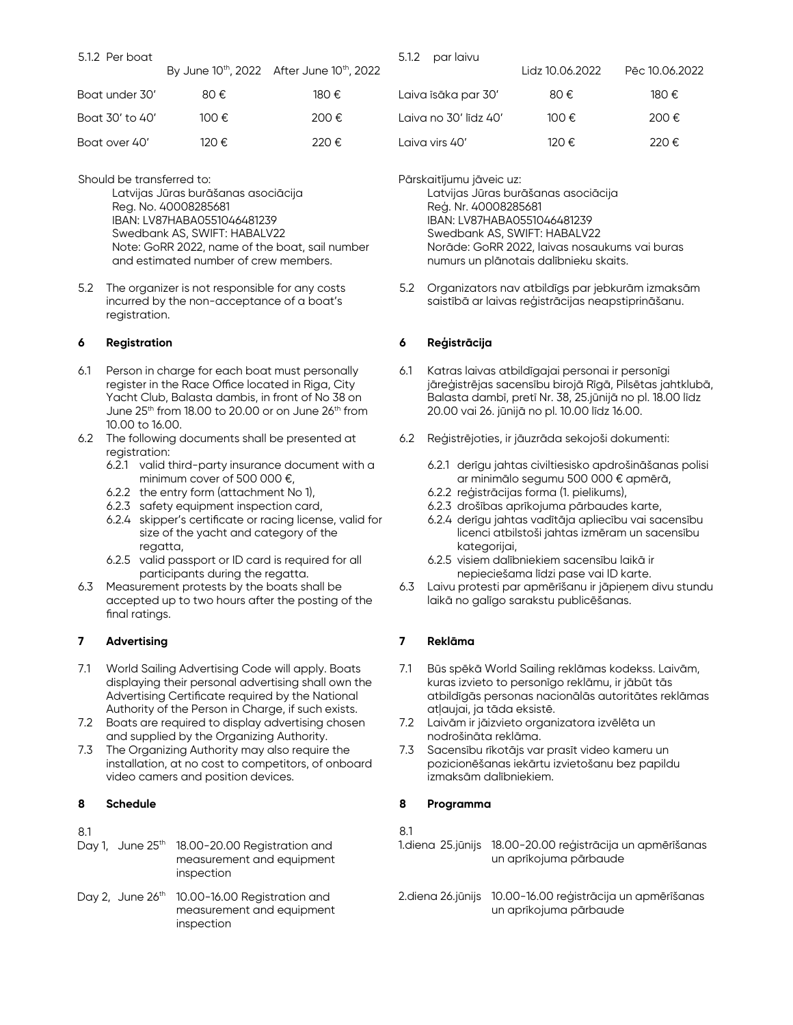| 5.1.2 Per boat |                                               |        |
|----------------|-----------------------------------------------|--------|
|                | By June $10^{th}$ , 2022 After June $10^{th}$ |        |
| Boat under 30' | 80€.                                          | 180 €. |

| Boat 30' to 40' | 100 €. | 200€   |
|-----------------|--------|--------|
| Boat over 40'   | 120 €. | 220 €. |

Should be transferred to:

Latvijas Jūras burāšanas asociācija Reg. No. 40008285681 IBAN: LV87HABA0551046481239 Swedbank AS, SWIFT: HABALV22 Note: GoRR 2022, name of the boat, sail number and estimated number of crew members.

5.2 The organizer is not responsible for any costs incurred by the non-acceptance of a boat's registration.

## **6 Registration**

- 6.1 Person in charge for each boat must personally register in the Race Office located in Riga, City Yacht Club, Balasta dambis, in front of No 38 on June  $25<sup>th</sup>$  from 18.00 to 20.00 or on June  $26<sup>th</sup>$  from 10.00 to 16.00.
- 6.2 The following documents shall be presented at registration:
	- 6.2.1 valid third-party insurance document with a minimum cover of 500 000 €,
	- 6.2.2 the entry form (attachment No 1),
	- 6.2.3 safety equipment inspection card,
	- 6.2.4 skipper's certificate or racing license, valid for size of the yacht and category of the regatta,
	- 6.2.5 valid passport or ID card is required for all participants during the regatta.
- 6.3 Measurement protests by the boats shall be accepted up to two hours after the posting of the final ratings.

## **7 Advertising**

- 7.1 World Sailing Advertising Code will apply. Boats displaying their personal advertising shall own the Advertising Certificate required by the National Authority of the Person in Charge, if such exists.
- 7.2 Boats are required to display advertising chosen and supplied by the Organizing Authority.
- 7.3 The Organizing Authority may also require the installation, at no cost to competitors, of onboard video camers and position devices.

## **8 Schedule**

8.1

- Day 1, June 25<sup>th</sup> 18.00-20.00 Registration and measurement and equipment inspection
- Day 2, June 26<sup>th</sup> 10.00-16.00 Registration and measurement and equipment inspection

| 5.1.2 | par laivu |
|-------|-----------|

 $h$ , 2022

|                       | Lidz 10.06.2022 | Pēc 10.06.2022 |
|-----------------------|-----------------|----------------|
| Laiva īsāka par 30'   | 80€             | 180 €.         |
| Laiva no 30' līdz 40' | 100€            | 200€           |
| Laiva virs 40'        | 120€.           | 220€           |

Pārskaitījumu jāveic uz:

Latvijas Jūras burāšanas asociācija Reģ. Nr. 40008285681 IBAN: LV87HABA0551046481239 Swedbank AS, SWIFT: HABALV22 Norāde: GoRR 2022, laivas nosaukums vai buras numurs un plānotais dalībnieku skaits.

5.2 Organizators nav atbildīgs par jebkurām izmaksām saistībā ar laivas reģistrācijas neapstiprināšanu.

## **6 Reģistrācija**

- 6.1 Katras laivas atbildīgajai personai ir personīgi jāreģistrējas sacensību birojā Rīgā, Pilsētas jahtklubā, Balasta dambī, pretī Nr. 38, 25.jūnijā no pl. 18.00 līdz 20.00 vai 26. jūnijā no pl. 10.00 līdz 16.00.
- 6.2 Reģistrējoties, ir jāuzrāda sekojoši dokumenti:
	- 6.2.1 derīgu jahtas civiltiesisko apdrošināšanas polisi ar minimālo segumu 500 000 € apmērā,
	- 6.2.2 reģistrācijas forma (1. pielikums),
	- 6.2.3 drošības aprīkojuma pārbaudes karte,
	- 6.2.4 derīgu jahtas vadītāja apliecību vai sacensību licenci atbilstoši jahtas izmēram un sacensību kategorijai,
	- 6.2.5 visiem dalībniekiem sacensību laikā ir nepieciešama līdzi pase vai ID karte.
- 6.3 Laivu protesti par apmērīšanu ir jāpieņem divu stundu laikā no galīgo sarakstu publicēšanas.

## **7 Reklāma**

- 7.1 Būs spēkā World Sailing reklāmas kodekss. Laivām, kuras izvieto to personīgo reklāmu, ir jābūt tās atbildīgās personas nacionālās autoritātes reklāmas atļaujai, ja tāda eksistē.
- 7.2 Laivām ir jāizvieto organizatora izvēlēta un nodrošināta reklāma.
- 7.3 Sacensību rīkotājs var prasīt video kameru un pozicionēšanas iekārtu izvietošanu bez papildu izmaksām dalībniekiem.

## **8 Programma**

8.1

- 1.diena 25.jūnijs 18.00-20.00 reģistrācija un apmērīšanas un aprīkojuma pārbaude
- 2.diena 26.jūnijs 10.00-16.00 reģistrācija un apmērīšanas un aprīkojuma pārbaude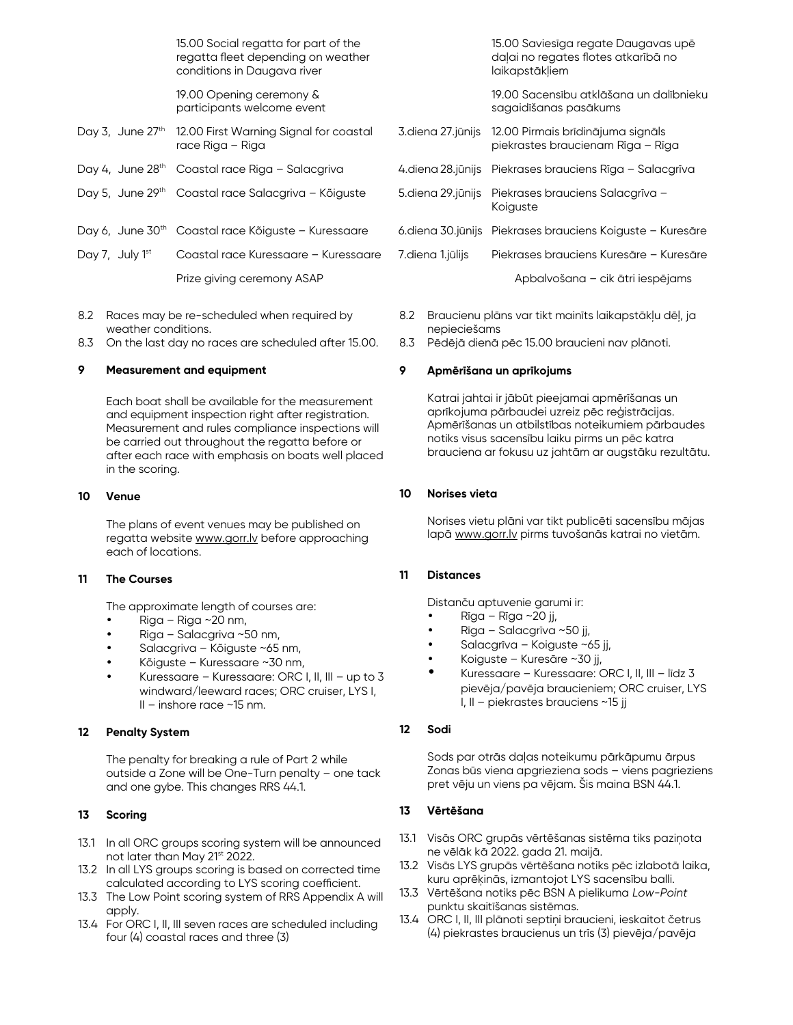15.00 Social regatta for part of the regatta fleet depending on weather conditions in Daugava river

19.00 Opening ceremony & participants welcome event

- Day 3, June 27<sup>th</sup> 12.00 First Warning Signal for coastal race Riga – Riga
- Day 4, June 28<sup>th</sup> Coastal race Riga Salacgriva
- Day 5, June 29<sup>th</sup> Coastal race Salacgriva Kõiguste
- Day 6, June 30<sup>th</sup> Coastal race Kõiguste Kuressaare
- Day 7, July 1<sup>st</sup> Coastal race Kuressaare Kuressaare Prize giving ceremony ASAP
- 8.2 Races may be re-scheduled when required by weather conditions.
- 8.3 On the last day no races are scheduled after 15.00.

#### **9 Measurement and equipment**

Each boat shall be available for the measurement and equipment inspection right after registration. Measurement and rules compliance inspections will be carried out throughout the regatta before or after each race with emphasis on boats well placed in the scoring.

#### **10 Venue**

The plans of event venues may be published on regatta website www.gorr.ly before approaching each of locations.

#### **11 The Courses**

The approximate length of courses are:

- Riga Riga ~20 nm,
- Riga Salacgriva ~50 nm,
- Salacgriva Kõiguste ~65 nm,
- Kõiguste Kuressaare ~30 nm,
- Kuressaare Kuressaare: ORC I, II, III up to 3 windward/leeward races; ORC cruiser, LYS I, II – inshore race ~15 nm.

#### **12 Penalty System**

The penalty for breaking a rule of Part 2 while outside a Zone will be One-Turn penalty – one tack and one gybe. This changes RRS 44.1.

#### **13 Scoring**

- 13.1 In all ORC groups scoring system will be announced not later than May 21<sup>st</sup> 2022.
- 13.2 In all LYS groups scoring is based on corrected time calculated according to LYS scoring coefficient.
- 13.3 The Low Point scoring system of RRS Appendix A will apply.
- 13.4 For ORC I, II, III seven races are scheduled including four (4) coastal races and three (3)

|  | daļai no regates flotes atkarībā no<br>laikapstākļiem                                      |  |
|--|--------------------------------------------------------------------------------------------|--|
|  | 19.00 Sacensību atklāšana un dalībnieku<br>sagaidīšanas pasākums                           |  |
|  | 3. diena 27. jūnijs 12.00 Pirmais brīdinājuma signāls<br>piekrastes braucienam Rīga - Rīga |  |
|  | 4.diena 28.jūnijs Piekrases brauciens Rīga – Salacarīva                                    |  |
|  | 5.diena 29.jūnijs Piekrases brauciens Salacgrīva -<br>Koiguste                             |  |
|  | 6.diena 30.jūnijs Piekrases brauciens Koiguste – Kuresāre                                  |  |
|  |                                                                                            |  |

7.diena 1.jūlijs Piekrases brauciens Kuresāre – Kuresāre

Apbalvošana – cik ātri iespējams

15.00 Saviesīga regate Daugavas upē

- 8.2 Braucienu plāns var tikt mainīts laikapstākļu dēļ, ja nepieciešams
- 8.3 Pēdējā dienā pēc 15.00 braucieni nav plānoti.

#### **9 Apmērīšana un aprīkojums**

Katrai jahtai ir jābūt pieejamai apmērīšanas un aprīkojuma pārbaudei uzreiz pēc reģistrācijas. Apmērīšanas un atbilstības noteikumiem pārbaudes notiks visus sacensību laiku pirms un pēc katra brauciena ar fokusu uz jahtām ar augstāku rezultātu.

#### **10 Norises vieta**

Norises vietu plāni var tikt publicēti sacensību mājas lapā [www.gorr.lv](http://www.gorr.lv/) pirms tuvošanās katrai no vietām.

#### **11 Distances**

Distanču aptuvenie garumi ir:

- Rīga Rīga ~20 jj,
- Rīga Salacgrīva ~50 jj,
- Salacgrīva Koiguste ~65 jj,
- Koiguste Kuresāre ~30 jj,
- Kuressaare Kuressaare: ORC I, II, III līdz 3 pievēja/pavēja braucieniem; ORC cruiser, LYS I, II – piekrastes brauciens ~15 jj

#### **12 Sodi**

Sods par otrās daļas noteikumu pārkāpumu ārpus Zonas būs viena apgrieziena sods – viens pagrieziens pret vēju un viens pa vējam. Šis maina BSN 44.1.

## **13 Vērtēšana**

- 13.1 Visās ORC grupās vērtēšanas sistēma tiks paziņota ne vēlāk kā 2022. gada 21. maijā.
- 13.2 Visās LYS grupās vērtēšana notiks pēc izlabotā laika, kuru aprēķinās, izmantojot LYS sacensību balli.
- 13.3 Vērtēšana notiks pēc BSN A pielikuma *Low-Point*  punktu skaitīšanas sistēmas*.*
- 13.4 ORC I, II, III plānoti septiņi braucieni, ieskaitot četrus (4) piekrastes braucienus un trīs (3) pievēja/pavēja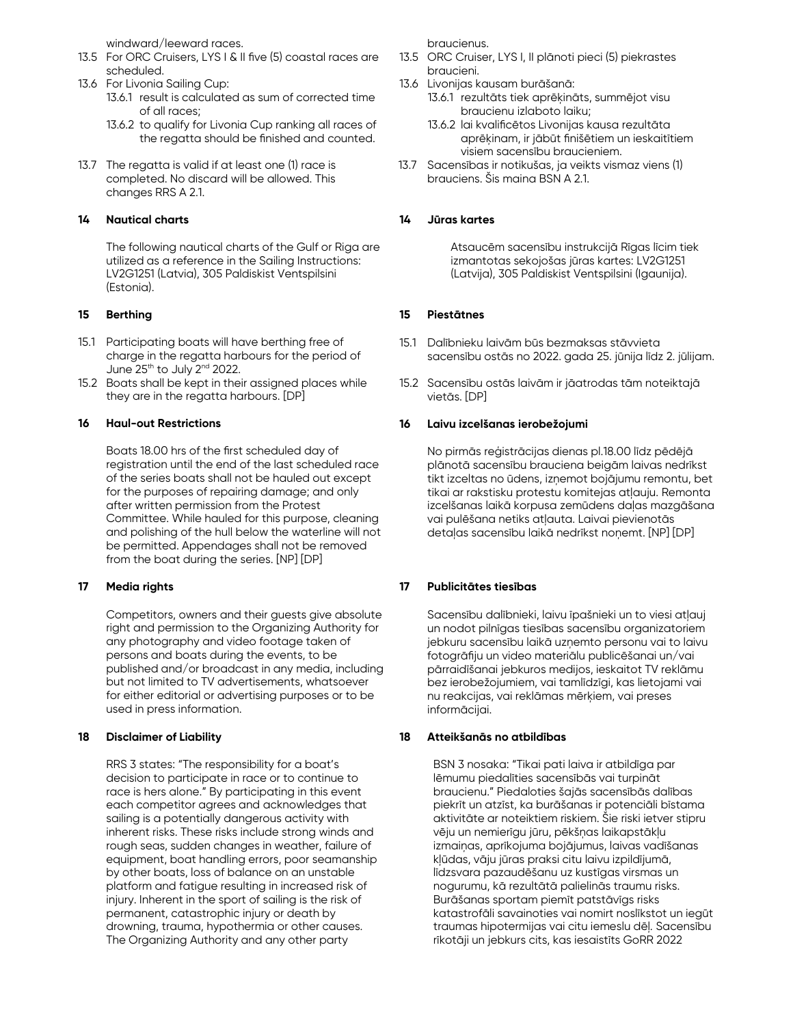windward/leeward races.

- 13.5 For ORC Cruisers, LYS I & II five (5) coastal races are scheduled.
- 13.6 For Livonia Sailing Cup:
	- 13.6.1 result is calculated as sum of corrected time of all races;
	- 13.6.2 to qualify for Livonia Cup ranking all races of the regatta should be finished and counted.
- 13.7 The regatta is valid if at least one (1) race is completed. No discard will be allowed. This changes RRS A 2.1.

## **14 Nautical charts**

The following nautical charts of the Gulf or Riga are utilized as a reference in the Sailing Instructions: LV2G1251 (Latvia), 305 Paldiskist Ventspilsini (Estonia).

## **15 Berthing**

- 15.1 Participating boats will have berthing free of charge in the regatta harbours for the period of June 25<sup>th</sup> to July 2<sup>nd</sup> 2022.
- 15.2 Boats shall be kept in their assigned places while they are in the regatta harbours. [DP]

## **16 Haul-out Restrictions**

Boats 18.00 hrs of the first scheduled day of registration until the end of the last scheduled race of the series boats shall not be hauled out except for the purposes of repairing damage; and only after written permission from the Protest Committee. While hauled for this purpose, cleaning and polishing of the hull below the waterline will not be permitted. Appendages shall not be removed from the boat during the series. [NP] [DP]

## **17 Media rights**

Competitors, owners and their guests give absolute right and permission to the Organizing Authority for any photography and video footage taken of persons and boats during the events, to be published and/or broadcast in any media, including but not limited to TV advertisements, whatsoever for either editorial or advertising purposes or to be used in press information.

## **18 Disclaimer of Liability**

RRS 3 states: "The responsibility for a boat's decision to participate in race or to continue to race is hers alone." By participating in this event each competitor agrees and acknowledges that sailing is a potentially dangerous activity with inherent risks. These risks include strong winds and rough seas, sudden changes in weather, failure of equipment, boat handling errors, poor seamanship by other boats, loss of balance on an unstable platform and fatigue resulting in increased risk of injury. Inherent in the sport of sailing is the risk of permanent, catastrophic injury or death by drowning, trauma, hypothermia or other causes. The Organizing Authority and any other party

braucienus.

- 13.5 ORC Cruiser, LYS I, II plānoti pieci (5) piekrastes braucieni.
- 13.6 Livonijas kausam burāšanā:
	- 13.6.1 rezultāts tiek aprēķināts, summējot visu braucienu izlaboto laiku;
	- 13.6.2 lai kvalificētos Livonijas kausa rezultāta aprēķinam, ir jābūt finišētiem un ieskaitītiem visiem sacensību braucieniem.
- 13.7 Sacensības ir notikušas, ja veikts vismaz viens (1) brauciens. Šis maina BSN A 2.1.

## **14 Jūras kartes**

Atsaucēm sacensību instrukcijā Rīgas līcim tiek izmantotas sekojošas jūras kartes: LV2G1251 (Latvija), 305 Paldiskist Ventspilsini (Igaunija).

## **15 Piestātnes**

- 15.1 Dalībnieku laivām būs bezmaksas stāvvieta sacensību ostās no 2022. gada 25. jūnija līdz 2. jūlijam.
- 15.2 Sacensību ostās laivām ir jāatrodas tām noteiktajā vietās. [DP]

## **16 Laivu izcelšanas ierobežojumi**

No pirmās reģistrācijas dienas pl.18.00 līdz pēdējā plānotā sacensību brauciena beigām laivas nedrīkst tikt izceltas no ūdens, izņemot bojājumu remontu, bet tikai ar rakstisku protestu komitejas atļauju. Remonta izcelšanas laikā korpusa zemūdens daļas mazgāšana vai pulēšana netiks atļauta. Laivai pievienotās detaļas sacensību laikā nedrīkst noņemt. [NP] [DP]

## **17 Publicitātes tiesības**

Sacensību dalībnieki, laivu īpašnieki un to viesi atļauj un nodot pilnīgas tiesības sacensību organizatoriem jebkuru sacensību laikā uzņemto personu vai to laivu fotogrāfiju un video materiālu publicēšanai un/vai pārraidīšanai jebkuros medijos, ieskaitot TV reklāmu bez ierobežojumiem, vai tamlīdzīgi, kas lietojami vai nu reakcijas, vai reklāmas mērķiem, vai preses informācijai.

## **18 Atteikšanās no atbildības**

BSN 3 nosaka: "Tikai pati laiva ir atbildīga par lēmumu piedalīties sacensībās vai turpināt braucienu." Piedaloties šajās sacensībās dalības piekrīt un atzīst, ka burāšanas ir potenciāli bīstama aktivitāte ar noteiktiem riskiem. Šie riski ietver stipru vēju un nemierīgu jūru, pēkšņas laikapstākļu izmaiņas, aprīkojuma bojājumus, laivas vadīšanas kļūdas, vāju jūras praksi citu laivu izpildījumā, līdzsvara pazaudēšanu uz kustīgas virsmas un nogurumu, kā rezultātā palielinās traumu risks. Burāšanas sportam piemīt patstāvīgs risks katastrofāli savainoties vai nomirt noslīkstot un iegūt traumas hipotermijas vai citu iemeslu dēļ. Sacensību rīkotāji un jebkurs cits, kas iesaistīts GoRR 2022